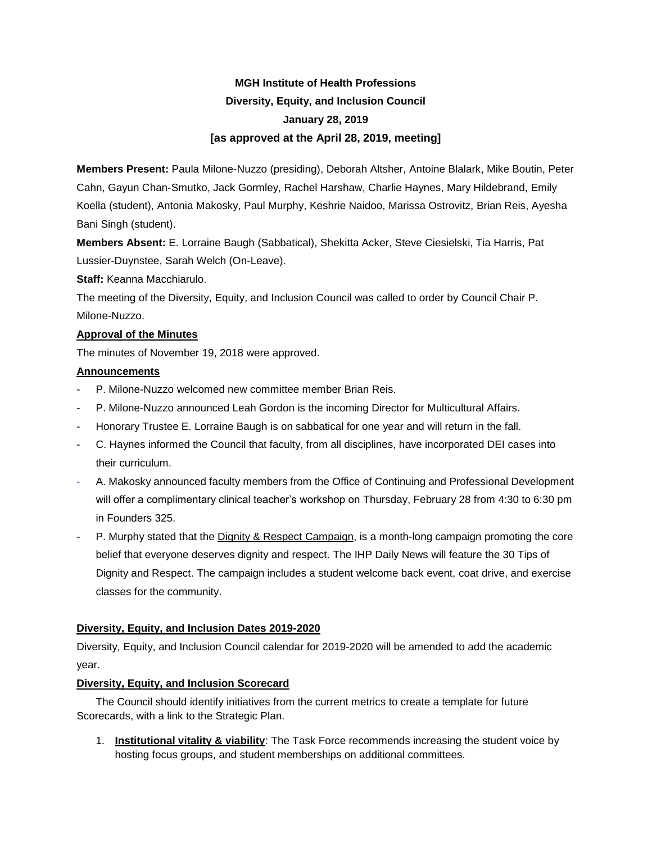# **MGH Institute of Health Professions Diversity, Equity, and Inclusion Council January 28, 2019 [as approved at the April 28, 2019, meeting]**

**Members Present:** Paula Milone-Nuzzo (presiding), Deborah Altsher, Antoine Blalark, Mike Boutin, Peter Cahn, Gayun Chan-Smutko, Jack Gormley, Rachel Harshaw, Charlie Haynes, Mary Hildebrand, Emily Koella (student), Antonia Makosky, Paul Murphy, Keshrie Naidoo, Marissa Ostrovitz, Brian Reis, Ayesha Bani Singh (student).

**Members Absent:** E. Lorraine Baugh (Sabbatical), Shekitta Acker, Steve Ciesielski, Tia Harris, Pat Lussier-Duynstee, Sarah Welch (On-Leave).

## **Staff:** Keanna Macchiarulo.

The meeting of the Diversity, Equity, and Inclusion Council was called to order by Council Chair P. Milone-Nuzzo.

## **Approval of the Minutes**

The minutes of November 19, 2018 were approved.

## **Announcements**

- P. Milone-Nuzzo welcomed new committee member Brian Reis.
- P. Milone-Nuzzo announced Leah Gordon is the incoming Director for Multicultural Affairs.
- Honorary Trustee E. Lorraine Baugh is on sabbatical for one year and will return in the fall.
- C. Haynes informed the Council that faculty, from all disciplines, have incorporated DEI cases into their curriculum.
- A. Makosky announced faculty members from the Office of Continuing and Professional Development will offer a complimentary clinical teacher's workshop on Thursday, February 28 from 4:30 to 6:30 pm in Founders 325.
- P. Murphy stated that the [Dignity & Respect Campaign,](https://www.mghihp.edu/dignity-and-respect-campaign-0) is a month-long campaign promoting the core belief that everyone deserves dignity and respect. The IHP Daily News will feature the 30 Tips of Dignity and Respect. The campaign includes a student welcome back event, coat drive, and exercise classes for the community.

# **Diversity, Equity, and Inclusion Dates 2019-2020**

Diversity, Equity, and Inclusion Council calendar for 2019-2020 will be amended to add the academic year.

# **Diversity, Equity, and Inclusion Scorecard**

The Council should identify initiatives from the current metrics to create a template for future Scorecards, with a link to the Strategic Plan.

1. **Institutional vitality & viability**: The Task Force recommends increasing the student voice by hosting focus groups, and student memberships on additional committees.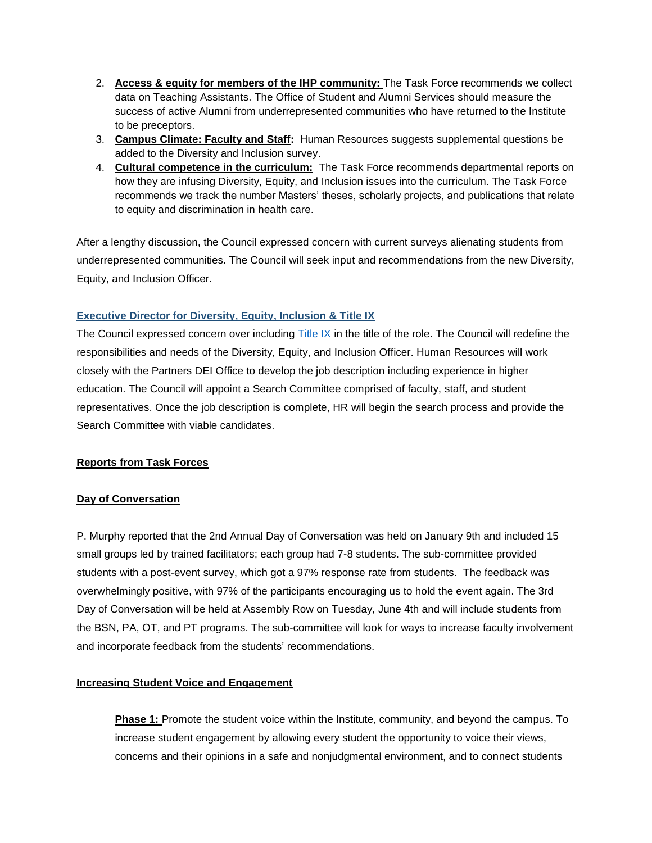- 2. **Access & equity for members of the IHP community:** The Task Force recommends we collect data on Teaching Assistants. The Office of Student and Alumni Services should measure the success of active Alumni from underrepresented communities who have returned to the Institute to be preceptors.
- 3. **Campus Climate: Faculty and Staff:** Human Resources suggests supplemental questions be added to the Diversity and Inclusion survey.
- 4. **Cultural competence in the curriculum:** The Task Force recommends departmental reports on how they are infusing Diversity, Equity, and Inclusion issues into the curriculum. The Task Force recommends we track the number Masters' theses, scholarly projects, and publications that relate to equity and discrimination in health care.

After a lengthy discussion, the Council expressed concern with current surveys alienating students from underrepresented communities. The Council will seek input and recommendations from the new Diversity, Equity, and Inclusion Officer.

## **[Executive Director for Diversity, Equity, Inclusion & Title IX](file:///C:/Users/krm57/Dropbox%20(Partners%20HealthCare)/Diversity%20Council%20Materials/2018-2019/January%2028,%202019/Executive%20Director%20Diversity%20Equity%20and%20Inclusion%2012.14.18%20DRAFT.docx)**

The Council expressed concern over including [Title IX](https://www2.ed.gov/about/offices/list/ocr/docs/tix_dis.html) in the title of the role. The Council will redefine the responsibilities and needs of the Diversity, Equity, and Inclusion Officer. Human Resources will work closely with the Partners DEI Office to develop the job description including experience in higher education. The Council will appoint a Search Committee comprised of faculty, staff, and student representatives. Once the job description is complete, HR will begin the search process and provide the Search Committee with viable candidates.

#### **Reports from Task Forces**

#### **Day of Conversation**

P. Murphy reported that the 2nd Annual Day of Conversation was held on January 9th and included 15 small groups led by trained facilitators; each group had 7-8 students. The sub-committee provided students with a post-event survey, which got a 97% response rate from students. The feedback was overwhelmingly positive, with 97% of the participants encouraging us to hold the event again. The 3rd Day of Conversation will be held at Assembly Row on Tuesday, June 4th and will include students from the BSN, PA, OT, and PT programs. The sub-committee will look for ways to increase faculty involvement and incorporate feedback from the students' recommendations.

#### **Increasing Student Voice and Engagement**

**Phase 1:** Promote the student voice within the Institute, community, and beyond the campus. To increase student engagement by allowing every student the opportunity to voice their views, concerns and their opinions in a safe and nonjudgmental environment, and to connect students